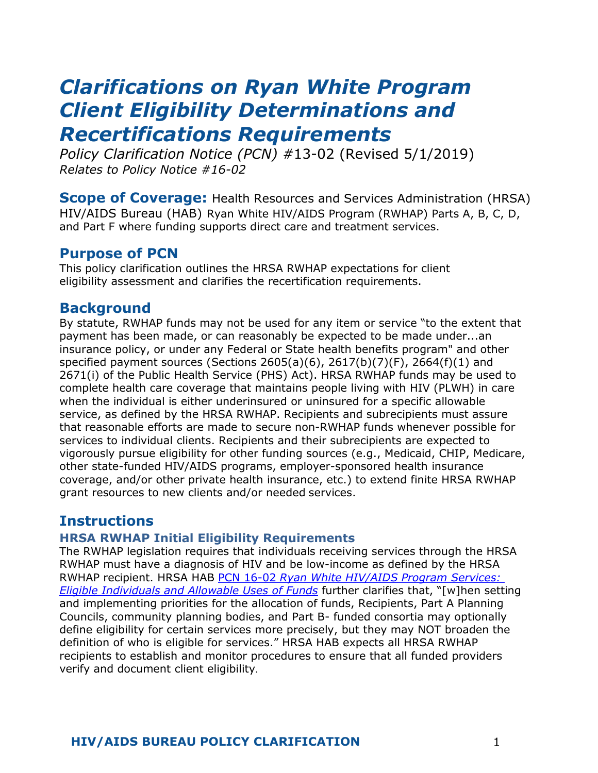# *Clarifications on Ryan White Program Client Eligibility Determinations and Recertifications Requirements*

*Policy Clarification Notice (PCN) #*13-02 (Revised 5/1/2019) *Relates to Policy Notice #16-02* 

**Scope of Coverage:** Health Resources and Services Administration (HRSA) HIV/AIDS Bureau (HAB) Ryan White HIV/AIDS Program (RWHAP) Parts A, B, C, D, and Part F where funding supports direct care and treatment services.

## **Purpose of PCN**

This policy clarification outlines the HRSA RWHAP expectations for client eligibility assessment and clarifies the recertification requirements.

## **Background**

By statute, RWHAP funds may not be used for any item or service "to the extent that payment has been made, or can reasonably be expected to be made under...an insurance policy, or under any Federal or State health benefits program" and other specified payment sources (Sections 2605(a)(6), 2617(b)(7)(F), 2664(f)(1) and 2671(i) of the Public Health Service (PHS) Act). HRSA RWHAP funds may be used to complete health care coverage that maintains people living with HIV (PLWH) in care when the individual is either underinsured or uninsured for a specific allowable service, as defined by the HRSA RWHAP. Recipients and subrecipients must assure that reasonable efforts are made to secure non-RWHAP funds whenever possible for services to individual clients. Recipients and their subrecipients are expected to vigorously pursue eligibility for other funding sources (e.g., Medicaid, CHIP, Medicare, other state-funded HIV/AIDS programs, employer-sponsored health insurance coverage, and/or other private health insurance, etc.) to extend finite HRSA RWHAP grant resources to new clients and/or needed services.

# **Instructions**

## **HRSA RWHAP Initial Eligibility Requirements**

The RWHAP legislation requires that individuals receiving services through the HRSA RWHAP must have a diagnosis of HIV and be low-income as defined by the HRSA RWHAP recipient. HRSA HAB PCN 16-02 *[Ryan White HIV/AIDS Program Services:](https://hab.hrsa.gov/sites/default/files/hab/program-grants-management/ServiceCategoryPCN_16-02Final.pdf)  [Eligible Individuals and Allowable Uses of Funds](https://hab.hrsa.gov/sites/default/files/hab/program-grants-management/ServiceCategoryPCN_16-02Final.pdf)* further clarifies that, "[w]hen setting and implementing priorities for the allocation of funds, Recipients, Part A Planning Councils, community planning bodies, and Part B- funded consortia may optionally define eligibility for certain services more precisely, but they may NOT broaden the definition of who is eligible for services." HRSA HAB expects all HRSA RWHAP recipients to establish and monitor procedures to ensure that all funded providers verify and document client eligibility.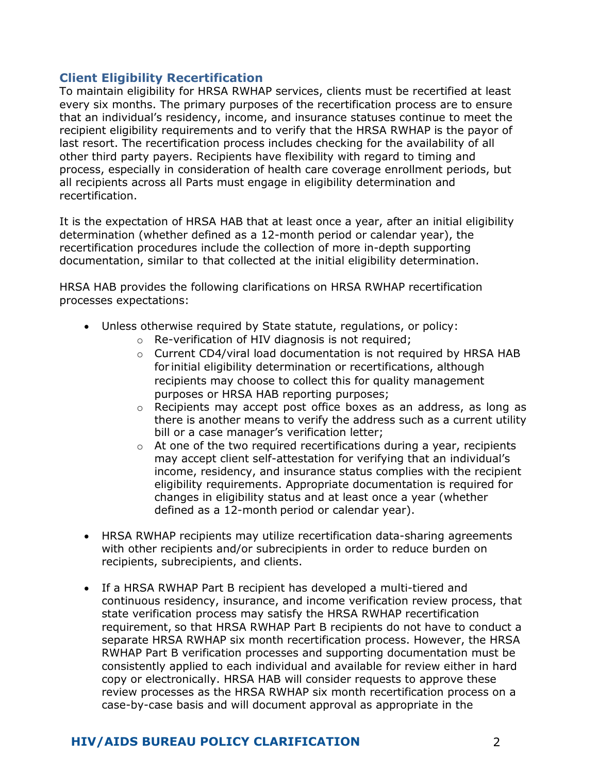#### **Client Eligibility Recertification**

To maintain eligibility for HRSA RWHAP services, clients must be recertified at least every six months. The primary purposes of the recertification process are to ensure that an individual's residency, income, and insurance statuses continue to meet the recipient eligibility requirements and to verify that the HRSA RWHAP is the payor of last resort. The recertification process includes checking for the availability of all other third party payers. Recipients have flexibility with regard to timing and process, especially in consideration of health care coverage enrollment periods, but all recipients across all Parts must engage in eligibility determination and recertification.

It is the expectation of HRSA HAB that at least once a year, after an initial eligibility determination (whether defined as a 12-month period or calendar year), the recertification procedures include the collection of more in-depth supporting documentation, similar to that collected at the initial eligibility determination.

HRSA HAB provides the following clarifications on HRSA RWHAP recertification processes expectations:

- Unless otherwise required by State statute, regulations, or policy:
	- o Re-verification of HIV diagnosis is not required;
	- $\circ$  Current CD4/viral load documentation is not required by HRSA HAB for initial eligibility determination or recertifications, although recipients may choose to collect this for quality management purposes or HRSA HAB reporting purposes;
	- o Recipients may accept post office boxes as an address, as long as there is another means to verify the address such as a current utility bill or a case manager's verification letter;
	- $\circ$  At one of the two required recertifications during a year, recipients may accept client self-attestation for verifying that an individual's income, residency, and insurance status complies with the recipient eligibility requirements. Appropriate documentation is required for changes in eligibility status and at least once a year (whether defined as a 12-month period or calendar year).
- HRSA RWHAP recipients may utilize recertification data-sharing agreements with other recipients and/or subrecipients in order to reduce burden on recipients, subrecipients, and clients.
- If a HRSA RWHAP Part B recipient has developed a multi-tiered and continuous residency, insurance, and income verification review process, that state verification process may satisfy the HRSA RWHAP recertification requirement, so that HRSA RWHAP Part B recipients do not have to conduct a separate HRSA RWHAP six month recertification process. However, the HRSA RWHAP Part B verification processes and supporting documentation must be consistently applied to each individual and available for review either in hard copy or electronically. HRSA HAB will consider requests to approve these review processes as the HRSA RWHAP six month recertification process on a case-by-case basis and will document approval as appropriate in the

## **HIV/AIDS BUREAU POLICY CLARIFICATION** 2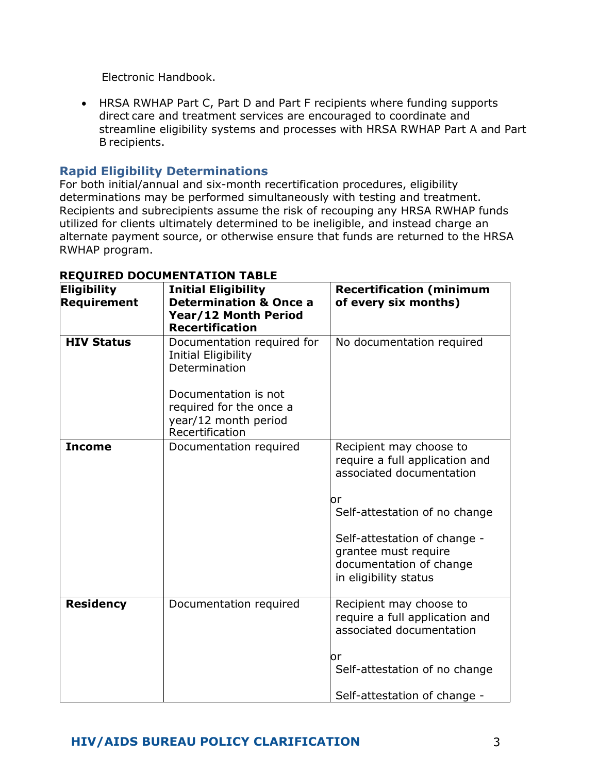Electronic Handbook.

• HRSA RWHAP Part C, Part D and Part F recipients where funding supports direct care and treatment services are encouraged to coordinate and streamline eligibility systems and processes with HRSA RWHAP Part A and Part B recipients.

## **Rapid Eligibility Determinations**

For both initial/annual and six-month recertification procedures, eligibility determinations may be performed simultaneously with testing and treatment. Recipients and subrecipients assume the risk of recouping any HRSA RWHAP funds utilized for clients ultimately determined to be ineligible, and instead charge an alternate payment source, or otherwise ensure that funds are returned to the HRSA RWHAP program.

| Eligibility<br>Requirement | <b>Initial Eligibility</b><br><b>Determination &amp; Once a</b><br>Year/12 Month Period<br><b>Recertification</b>     | <b>Recertification (minimum</b><br>of every six months)                                                                                                                                                                                  |
|----------------------------|-----------------------------------------------------------------------------------------------------------------------|------------------------------------------------------------------------------------------------------------------------------------------------------------------------------------------------------------------------------------------|
| <b>HIV Status</b>          | Documentation required for<br>Initial Eligibility<br>Determination<br>Documentation is not<br>required for the once a | No documentation required                                                                                                                                                                                                                |
|                            | year/12 month period<br>Recertification                                                                               |                                                                                                                                                                                                                                          |
| <b>Income</b>              | Documentation required                                                                                                | Recipient may choose to<br>require a full application and<br>associated documentation<br>or<br>Self-attestation of no change<br>Self-attestation of change -<br>grantee must require<br>documentation of change<br>in eligibility status |
| <b>Residency</b>           | Documentation required                                                                                                | Recipient may choose to<br>require a full application and<br>associated documentation<br>or<br>Self-attestation of no change<br>Self-attestation of change -                                                                             |

#### **REQUIRED DOCUMENTATION TABLE**